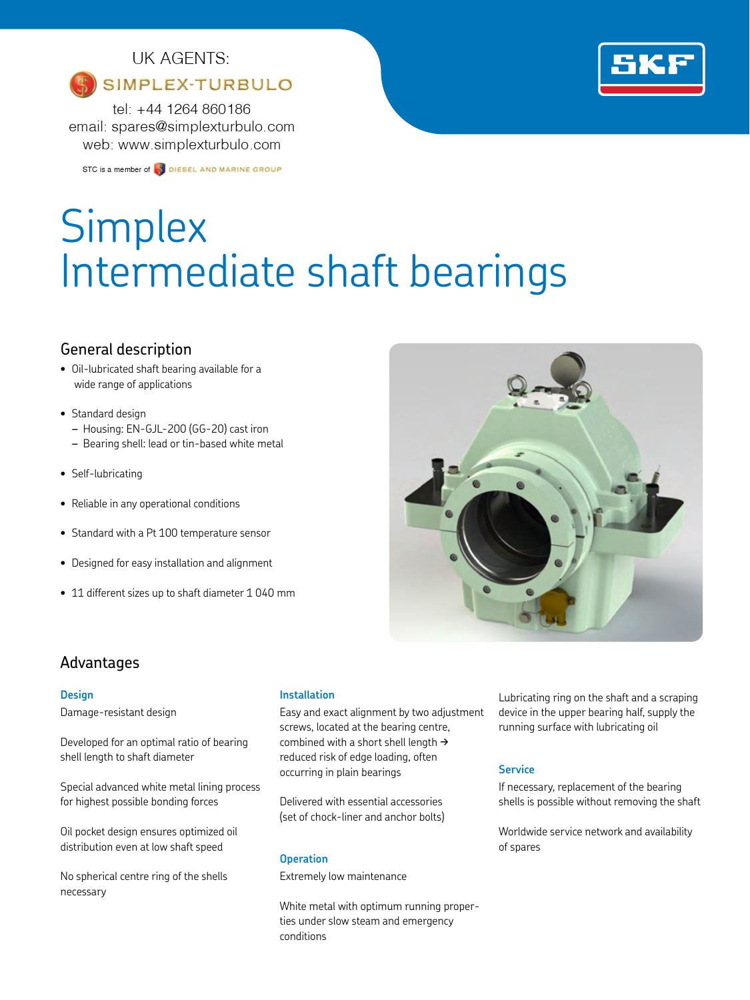## UK AGENTS:

## SIMPLEX-TURBULO

tel: +44 1264 860186 email: spares@simplexturbulo.com web: www.simplexturbulo.com

STC is a member of **S** DIESEL AND MARINE GROUP

# Simplex Intermediate shaft bearings

## General description

- Oil-lubricated shaft bearing available for a wide range of applications
- Standard design
	- *–* Housing: EN-GJL-200 (GG-20) cast iron
	- *–* Bearing shell: lead or tin-based white metal
- Self-lubricating
- Reliable in any operational conditions
- Standard with a Pt 100 temperature sensor
- Designed for easy installation and alignment
- 11 different sizes up to shaft diameter 1 040 mm



## Advantages

#### **Design**

Damage-resistant design

Developed for an optimal ratio of bearing shell length to shaft diameter

Special advanced white metal lining process for highest possible bonding forces

Oil pocket design ensures optimized oil distribution even at low shaft speed

No spherical centre ring of the shells necessary

#### **Installation**

Easy and exact alignment by two adjustment screws, located at the bearing centre, combined with a short shell length  $\rightarrow$ reduced risk of edge loading, often occurring in plain bearings

Delivered with essential accessories (set of chock-liner and anchor bolts)

#### **Operation**

Extremely low maintenance

White metal with optimum running properties under slow steam and emergency conditions

Lubricating ring on the shaft and a scraping device in the upper bearing half, supply the running surface with lubricating oil

### **Service**

If necessary, replacement of the bearing shells is possible without removing the shaft

Worldwide service network and availability of spares